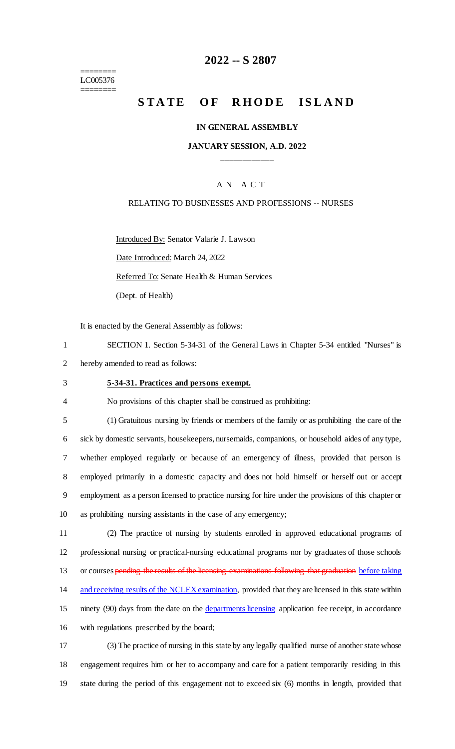======== LC005376 ========

## **2022 -- S 2807**

# **STATE OF RHODE ISLAND**

#### **IN GENERAL ASSEMBLY**

## **JANUARY SESSION, A.D. 2022 \_\_\_\_\_\_\_\_\_\_\_\_**

## A N A C T

#### RELATING TO BUSINESSES AND PROFESSIONS -- NURSES

Introduced By: Senator Valarie J. Lawson Date Introduced: March 24, 2022 Referred To: Senate Health & Human Services (Dept. of Health)

It is enacted by the General Assembly as follows:

1 SECTION 1. Section 5-34-31 of the General Laws in Chapter 5-34 entitled "Nurses" is 2 hereby amended to read as follows:

#### 3 **5-34-31. Practices and persons exempt.**

4 No provisions of this chapter shall be construed as prohibiting:

 (1) Gratuitous nursing by friends or members of the family or as prohibiting the care of the sick by domestic servants, housekeepers, nursemaids, companions, or household aides of any type, whether employed regularly or because of an emergency of illness, provided that person is employed primarily in a domestic capacity and does not hold himself or herself out or accept employment as a person licensed to practice nursing for hire under the provisions of this chapter or as prohibiting nursing assistants in the case of any emergency;

11 (2) The practice of nursing by students enrolled in approved educational programs of 12 professional nursing or practical-nursing educational programs nor by graduates of those schools 13 or courses pending the results of the licensing examinations following that graduation before taking 14 and receiving results of the NCLEX examination, provided that they are licensed in this state within 15 ninety (90) days from the date on the departments licensing application fee receipt, in accordance 16 with regulations prescribed by the board;

17 (3) The practice of nursing in this state by any legally qualified nurse of another state whose 18 engagement requires him or her to accompany and care for a patient temporarily residing in this 19 state during the period of this engagement not to exceed six (6) months in length, provided that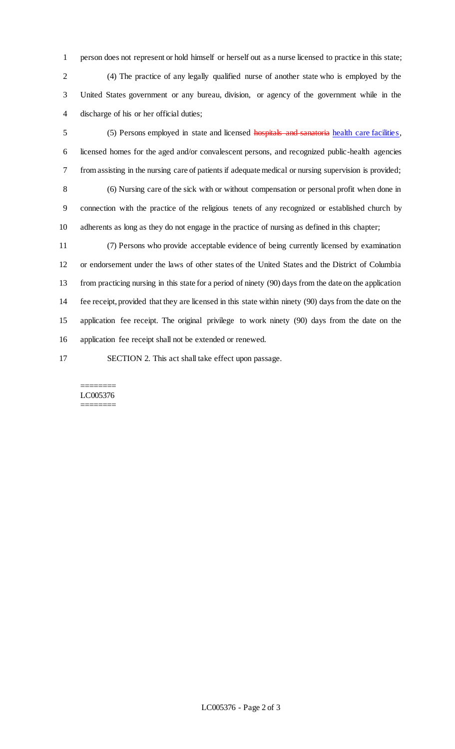person does not represent or hold himself or herself out as a nurse licensed to practice in this state; (4) The practice of any legally qualified nurse of another state who is employed by the United States government or any bureau, division, or agency of the government while in the discharge of his or her official duties;

 (5) Persons employed in state and licensed hospitals and sanatoria health care facilities, licensed homes for the aged and/or convalescent persons, and recognized public-health agencies from assisting in the nursing care of patients if adequate medical or nursing supervision is provided; (6) Nursing care of the sick with or without compensation or personal profit when done in connection with the practice of the religious tenets of any recognized or established church by adherents as long as they do not engage in the practice of nursing as defined in this chapter;

 (7) Persons who provide acceptable evidence of being currently licensed by examination or endorsement under the laws of other states of the United States and the District of Columbia from practicing nursing in this state for a period of ninety (90) days from the date on the application fee receipt, provided that they are licensed in this state within ninety (90) days from the date on the application fee receipt. The original privilege to work ninety (90) days from the date on the application fee receipt shall not be extended or renewed.

SECTION 2. This act shall take effect upon passage.

#### ======== LC005376 ========